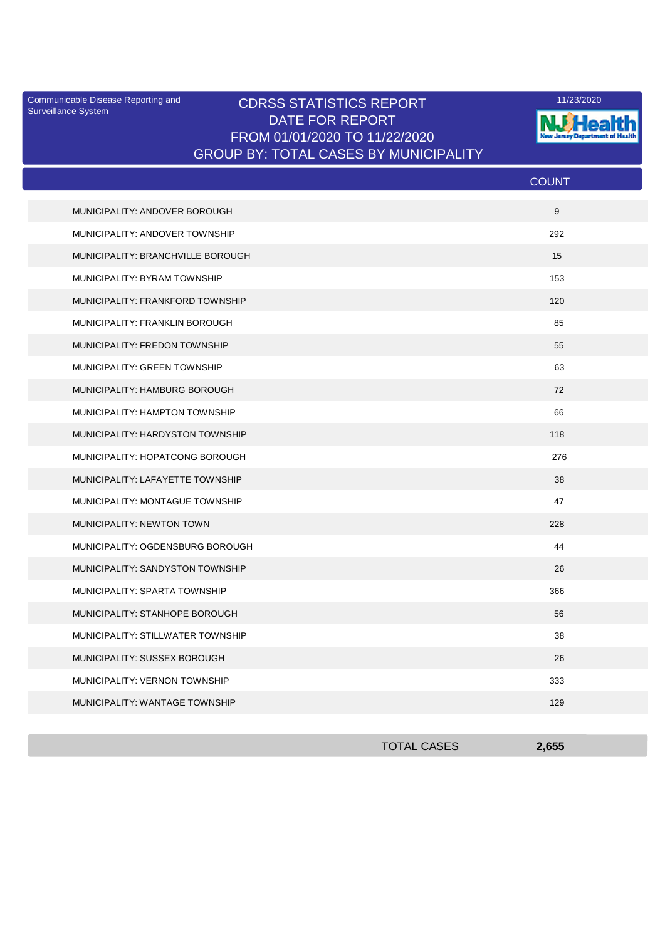Surveillance System

## Communicable Disease Reporting and **CDRSS STATISTICS REPORT** 11/23/2020<br>Surveillance Statem DATE FOR REPORT FROM 01/01/2020 TO 11/22/2020 GROUP BY: TOTAL CASES BY MUNICIPALITY



|                                       | <b>COUNT</b> |
|---------------------------------------|--------------|
| MUNICIPALITY: ANDOVER BOROUGH         | 9            |
| MUNICIPALITY: ANDOVER TOWNSHIP        | 292          |
| MUNICIPALITY: BRANCHVILLE BOROUGH     | 15           |
| MUNICIPALITY: BYRAM TOWNSHIP          | 153          |
| MUNICIPALITY: FRANKFORD TOWNSHIP      | 120          |
| MUNICIPALITY: FRANKLIN BOROUGH        | 85           |
| MUNICIPALITY: FREDON TOWNSHIP         | 55           |
| MUNICIPALITY: GREEN TOWNSHIP          | 63           |
| MUNICIPALITY: HAMBURG BOROUGH         | 72           |
| MUNICIPALITY: HAMPTON TOWNSHIP        | 66           |
| MUNICIPALITY: HARDYSTON TOWNSHIP      | 118          |
| MUNICIPALITY: HOPATCONG BOROUGH       | 276          |
| MUNICIPALITY: LAFAYETTE TOWNSHIP      | 38           |
| MUNICIPALITY: MONTAGUE TOWNSHIP       | 47           |
| MUNICIPALITY: NEWTON TOWN             | 228          |
| MUNICIPALITY: OGDENSBURG BOROUGH      | 44           |
| MUNICIPALITY: SANDYSTON TOWNSHIP      | 26           |
| MUNICIPALITY: SPARTA TOWNSHIP         | 366          |
| MUNICIPALITY: STANHOPE BOROUGH        | 56           |
| MUNICIPALITY: STILLWATER TOWNSHIP     | 38           |
| MUNICIPALITY: SUSSEX BOROUGH          | 26           |
| MUNICIPALITY: VERNON TOWNSHIP         | 333          |
| <b>MUNICIPALITY: WANTAGE TOWNSHIP</b> | 129          |

| <b>TOTAL CASES</b> | 2,655 |
|--------------------|-------|
|                    |       |